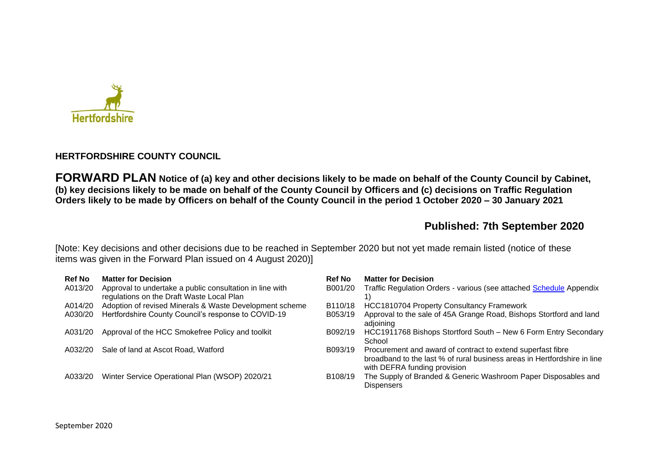

### **HERTFORDSHIRE COUNTY COUNCIL**

**FORWARD PLAN Notice of (a) key and other decisions likely to be made on behalf of the County Council by Cabinet, (b) key decisions likely to be made on behalf of the County Council by Officers and (c) decisions on Traffic Regulation Orders likely to be made by Officers on behalf of the County Council in the period 1 October 2020 – 30 January 2021** 

# **Published: 7th September 2020**

[Note: Key decisions and other decisions due to be reached in September 2020 but not yet made remain listed (notice of these items was given in the Forward Plan issued on 4 August 2020)]

| <b>Ref No</b> | <b>Matter for Decision</b>                                                                            | <b>Ref No</b>        | <b>Matter for Decision</b>                                                                                                                                              |
|---------------|-------------------------------------------------------------------------------------------------------|----------------------|-------------------------------------------------------------------------------------------------------------------------------------------------------------------------|
| A013/20       | Approval to undertake a public consultation in line with<br>regulations on the Draft Waste Local Plan | B001/20              | Traffic Regulation Orders - various (see attached Schedule Appendix                                                                                                     |
| A014/20       | Adoption of revised Minerals & Waste Development scheme                                               | B110/18              | HCC1810704 Property Consultancy Framework                                                                                                                               |
| A030/20       | Hertfordshire County Council's response to COVID-19                                                   | B053/19              | Approval to the sale of 45A Grange Road, Bishops Stortford and land<br>adjoining                                                                                        |
| A031/20       | Approval of the HCC Smokefree Policy and toolkit                                                      | B092/19              | HCC1911768 Bishops Stortford South - New 6 Form Entry Secondary<br>School                                                                                               |
| A032/20       | Sale of land at Ascot Road, Watford                                                                   | B093/19              | Procurement and award of contract to extend superfast fibre<br>broadband to the last % of rural business areas in Hertfordshire in line<br>with DEFRA funding provision |
| A033/20       | Winter Service Operational Plan (WSOP) 2020/21                                                        | B <sub>108</sub> /19 | The Supply of Branded & Generic Washroom Paper Disposables and<br><b>Dispensers</b>                                                                                     |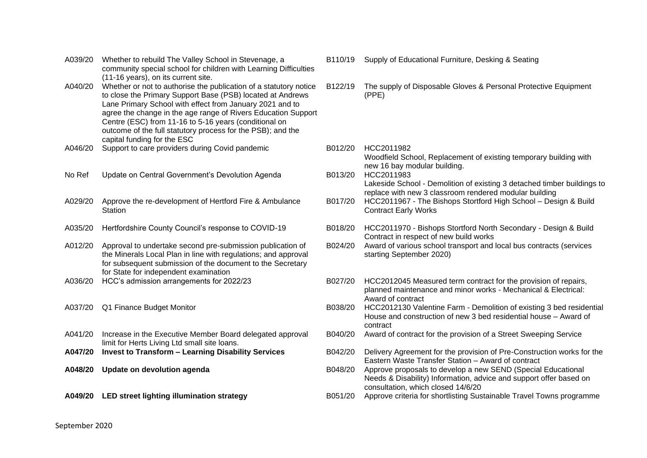A039/20 Whether to rebuild The Valley School in Stevenage, a community special school for children with Learning Difficulties (11-16 years), on its current site. A040/20 Whether or not to authorise the publication of a statutory notice to close the Primary Support Base (PSB) located at Andrews Lane Primary School with effect from January 2021 and to agree the change in the age range of Rivers Education Support Centre (ESC) from 11-16 to 5-16 years (conditional on outcome of the full statutory process for the PSB); and the capital funding for the ESC A046/20 Support to care providers during Covid pandemic B012/20 HCC2011982 No Ref Update on Central Government's Devolution Agenda B013/20 HCC2011983 A029/20 Approve the re-development of Hertford Fire & Ambulance **Station** A012/20 Approval to undertake second pre-submission publication of the Minerals Local Plan in line with regulations; and approval for subsequent submission of the document to the Secretary for State for independent examination A041/20 Increase in the Executive Member Board delegated approval limit for Herts Living Ltd small site loans.<br>A047/20 Invest to Transform - Learning Disability Services

#### B110/19 Supply of Educational Furniture, Desking & Seating

- B122/19 The supply of Disposable Gloves & Personal Protective Equipment (PPE)
- Woodfield School, Replacement of existing temporary building with new 16 bay modular building. Lakeside School - Demolition of existing 3 detached timber buildings to replace with new 3 classroom rendered modular building B017/20 HCC2011967 - The Bishops Stortford High School – Design & Build Contract Early Works A035/20 Hertfordshire County Council's response to COVID-19 B018/20 HCC2011970 - Bishops Stortford North Secondary - Design & Build Contract in respect of new build works B024/20 Award of various school transport and local bus contracts (services starting September 2020) A036/20 HCC's admission arrangements for 2022/23 B027/20 HCC2012045 Measured term contract for the provision of repairs, planned maintenance and minor works - Mechanical & Electrical: Award of contract A037/20 Q1 Finance Budget Monitor B038/20 HCC2012130 Valentine Farm - Demolition of existing 3 bed residential House and construction of new 3 bed residential house – Award of contract B040/20 Award of contract for the provision of a Street Sweeping Service **A047/20 Invest to Transform – Learning Disability Services** B042/20 Delivery Agreement for the provision of Pre-Construction works for the Eastern Waste Transfer Station – Award of contract **A048/20 Update on devolution agenda** B048/20 Approve proposals to develop a new SEND (Special Educational Needs & Disability) Information, advice and support offer based on consultation, which closed 14/6/20 **A049/20 LED street lighting illumination strategy** B051/20 Approve criteria for shortlisting Sustainable Travel Towns programme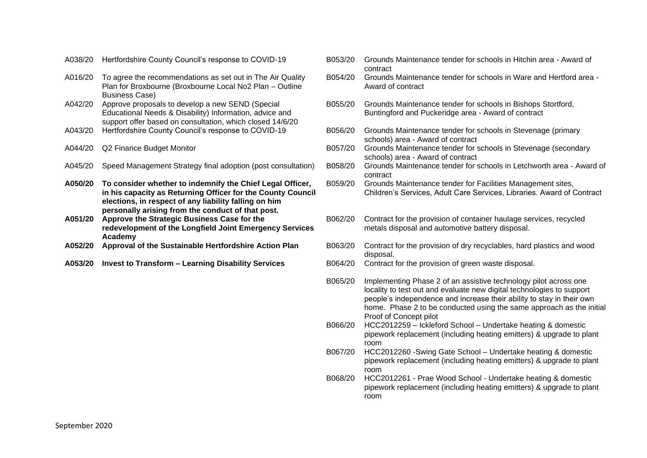- A038/20 Hertfordshire County Council's response to COVID-19 B053/20 Grounds Maintenance tender for schools in Hitchin area Award of
- A016/20 To agree the recommendations as set out in The Air Quality Plan for Broxbourne (Broxbourne Local No2 Plan – Outline Business Case)
- A042/20 Approve proposals to develop a new SEND (Special Educational Needs & Disability) Information, advice and support offer based on consultation, which closed 14/6/20<br>Hertfordshire County Council's response to COVID-19
- 
- 
- 
- **A050/20 To consider whether to indemnify the Chief Legal Officer, in his capacity as Returning Officer for the County Council elections, in respect of any liability falling on him personally arising from the conduct of that post.**
- **A051/20 Approve the Strategic Business Case for the redevelopment of the Longfield Joint Emergency Services Academy**
- 
- 
- contract B054/20 Grounds Maintenance tender for schools in Ware and Hertford area - Award of contract B055/20 Grounds Maintenance tender for schools in Bishops Stortford, Buntingford and Puckeridge area - Award of contract A043/20 Hertfordshire County Council's response to COVID-19 B056/20 Grounds Maintenance tender for schools in Stevenage (primary schools) area - Award of contract A044/20 Q2 Finance Budget Monitor **BOST/20** Grounds Maintenance tender for schools in Stevenage (secondary schools) area - Award of contract A045/20 Speed Management Strategy final adoption (post consultation) B058/20 Grounds Maintenance tender for schools in Letchworth area - Award of contract B059/20 Grounds Maintenance tender for Facilities Management sites, Children's Services, Adult Care Services, Libraries. Award of Contract B062/20 Contract for the provision of container haulage services, recycled metals disposal and automotive battery disposal. **A052/20 Approval of the Sustainable Hertfordshire Action Plan** B063/20 Contract for the provision of dry recyclables, hard plastics and wood disposal. **A053/20 Invest to Transform – Learning Disability Services** B064/20 Contract for the provision of green waste disposal. B065/20 Implementing Phase 2 of an assistive technology pilot across one locality to test out and evaluate new digital technologies to support people's independence and increase their ability to stay in their own home. Phase 2 to be conducted using the same approach as the initial
	- Proof of Concept pilot B066/20 HCC2012259 – Ickleford School – Undertake heating & domestic pipework replacement (including heating emitters) & upgrade to plant room
	- B067/20 HCC2012260 -Swing Gate School Undertake heating & domestic pipework replacement (including heating emitters) & upgrade to plant room
	- B068/20 HCC2012261 Prae Wood School Undertake heating & domestic pipework replacement (including heating emitters) & upgrade to plant room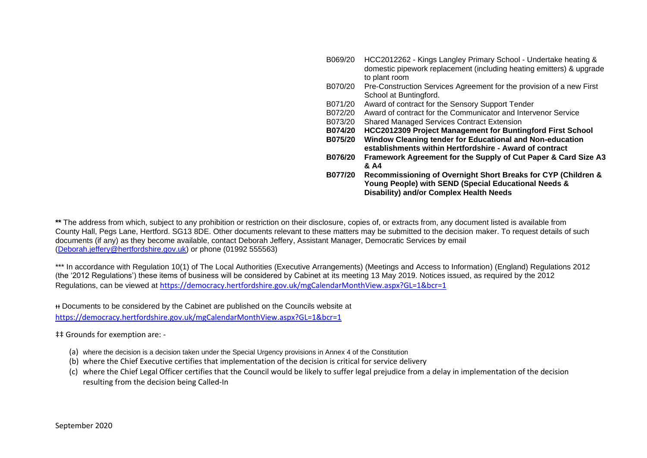| B069/20        | HCC2012262 - Kings Langley Primary School - Undertake heating &<br>domestic pipework replacement (including heating emitters) & upgrade |
|----------------|-----------------------------------------------------------------------------------------------------------------------------------------|
|                | to plant room                                                                                                                           |
| B070/20        | Pre-Construction Services Agreement for the provision of a new First                                                                    |
|                | School at Buntingford.                                                                                                                  |
| B071/20        | Award of contract for the Sensory Support Tender                                                                                        |
| B072/20        | Award of contract for the Communicator and Intervenor Service                                                                           |
| B073/20        | <b>Shared Managed Services Contract Extension</b>                                                                                       |
| <b>B074/20</b> | <b>HCC2012309 Project Management for Buntingford First School</b>                                                                       |
| B075/20        | Window Cleaning tender for Educational and Non-education                                                                                |
|                | establishments within Hertfordshire - Award of contract                                                                                 |
| B076/20        | Framework Agreement for the Supply of Cut Paper & Card Size A3                                                                          |
|                |                                                                                                                                         |
|                | & A4                                                                                                                                    |
| B077/20        | Recommissioning of Overnight Short Breaks for CYP (Children &                                                                           |
|                | Young People) with SEND (Special Educational Needs &<br><b>Disability) and/or Complex Health Needs</b>                                  |

**\*\*** The address from which, subject to any prohibition or restriction on their disclosure, copies of, or extracts from, any document listed is available from County Hall, Pegs Lane, Hertford. SG13 8DE. Other documents relevant to these matters may be submitted to the decision maker. To request details of such documents (if any) as they become available, contact Deborah Jeffery, Assistant Manager, Democratic Services by email [\(Deborah.jeffery@hertfordshire.gov.uk\)](mailto:Deborah.jeffery@hertfordshire.gov.uk) or phone (01992 555563)

\*\*\* In accordance with Regulation 10(1) of The Local Authorities (Executive Arrangements) (Meetings and Access to Information) (England) Regulations 2012 (the '2012 Regulations') these items of business will be considered by Cabinet at its meeting 13 May 2019. Notices issued, as required by the 2012 Regulations, can be viewed at <https://democracy.hertfordshire.gov.uk/mgCalendarMonthView.aspx?GL=1&bcr=1>

ᵻᵻ Documents to be considered by the Cabinet are published on the Councils website at

<https://democracy.hertfordshire.gov.uk/mgCalendarMonthView.aspx?GL=1&bcr=1>

‡‡ Grounds for exemption are: -

- (a) where the decision is a decision taken under the Special Urgency provisions in Annex 4 of the Constitution
- (b) where the Chief Executive certifies that implementation of the decision is critical for service delivery
- (c) where the Chief Legal Officer certifies that the Council would be likely to suffer legal prejudice from a delay in implementation of the decision resulting from the decision being Called-In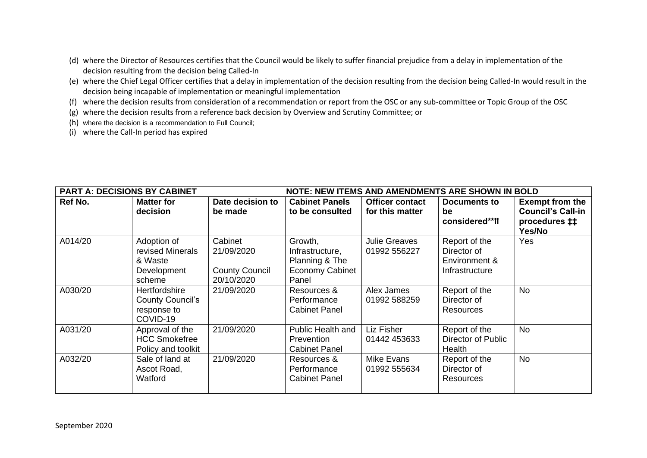- (d) where the Director of Resources certifies that the Council would be likely to suffer financial prejudice from a delay in implementation of the decision resulting from the decision being Called-In
- (e) where the Chief Legal Officer certifies that a delay in implementation of the decision resulting from the decision being Called-In would result in the decision being incapable of implementation or meaningful implementation
- (f) where the decision results from consideration of a recommendation or report from the OSC or any sub-committee or Topic Group of the OSC
- (g) where the decision results from a reference back decision by Overview and Scrutiny Committee; or
- (h) where the decision is a recommendation to Full Council;
- (i) where the Call-In period has expired

| <b>PART A: DECISIONS BY CABINET</b> |                                                                     |                                                              |                                                                                 |                                           | <b>NOTE: NEW ITEMS AND AMENDMENTS ARE SHOWN IN BOLD</b>         |                                                                                     |
|-------------------------------------|---------------------------------------------------------------------|--------------------------------------------------------------|---------------------------------------------------------------------------------|-------------------------------------------|-----------------------------------------------------------------|-------------------------------------------------------------------------------------|
| Ref No.                             | <b>Matter for</b><br>decision                                       | Date decision to<br>be made                                  | <b>Cabinet Panels</b><br>to be consulted                                        | <b>Officer contact</b><br>for this matter | <b>Documents to</b><br>be<br>considered**ff                     | <b>Exempt from the</b><br><b>Council's Call-in</b><br>procedures <b>‡</b><br>Yes/No |
| A014/20                             | Adoption of<br>revised Minerals<br>& Waste<br>Development<br>scheme | Cabinet<br>21/09/2020<br><b>County Council</b><br>20/10/2020 | Growth,<br>Infrastructure,<br>Planning & The<br><b>Economy Cabinet</b><br>Panel | <b>Julie Greaves</b><br>01992 556227      | Report of the<br>Director of<br>Environment &<br>Infrastructure | Yes                                                                                 |
| A030/20                             | Hertfordshire<br><b>County Council's</b><br>response to<br>COVID-19 | 21/09/2020                                                   | Resources &<br>Performance<br><b>Cabinet Panel</b>                              | Alex James<br>01992 588259                | Report of the<br>Director of<br><b>Resources</b>                | <b>No</b>                                                                           |
| A031/20                             | Approval of the<br><b>HCC Smokefree</b><br>Policy and toolkit       | 21/09/2020                                                   | Public Health and<br>Prevention<br><b>Cabinet Panel</b>                         | Liz Fisher<br>01442 453633                | Report of the<br><b>Director of Public</b><br>Health            | No                                                                                  |
| A032/20                             | Sale of land at<br>Ascot Road,<br>Watford                           | 21/09/2020                                                   | Resources &<br>Performance<br><b>Cabinet Panel</b>                              | Mike Evans<br>01992 555634                | Report of the<br>Director of<br>Resources                       | <b>No</b>                                                                           |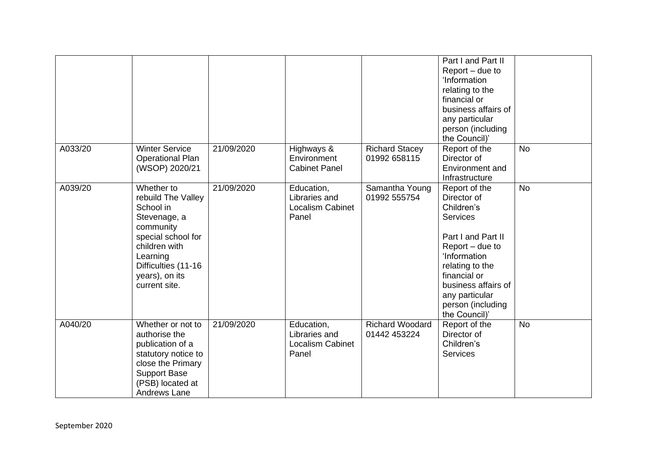|         |                                  |            |                             |                                | Part I and Part II              |           |
|---------|----------------------------------|------------|-----------------------------|--------------------------------|---------------------------------|-----------|
|         |                                  |            |                             |                                | Report – due to<br>'Information |           |
|         |                                  |            |                             |                                | relating to the                 |           |
|         |                                  |            |                             |                                | financial or                    |           |
|         |                                  |            |                             |                                | business affairs of             |           |
|         |                                  |            |                             |                                | any particular                  |           |
|         |                                  |            |                             |                                | person (including               |           |
|         |                                  |            |                             |                                | the Council)'                   |           |
| A033/20 | <b>Winter Service</b>            | 21/09/2020 | Highways &                  | <b>Richard Stacey</b>          | Report of the                   | <b>No</b> |
|         | <b>Operational Plan</b>          |            | Environment                 | 01992 658115                   | Director of                     |           |
|         | (WSOP) 2020/21                   |            | <b>Cabinet Panel</b>        |                                | Environment and                 |           |
|         |                                  |            |                             |                                | Infrastructure                  |           |
| A039/20 | Whether to<br>rebuild The Valley | 21/09/2020 | Education,<br>Libraries and | Samantha Young<br>01992 555754 | Report of the<br>Director of    | <b>No</b> |
|         | School in                        |            | <b>Localism Cabinet</b>     |                                | Children's                      |           |
|         | Stevenage, a                     |            | Panel                       |                                | <b>Services</b>                 |           |
|         | community                        |            |                             |                                |                                 |           |
|         | special school for               |            |                             |                                | Part I and Part II              |           |
|         | children with                    |            |                             |                                | Report – due to                 |           |
|         | Learning                         |            |                             |                                | 'Information                    |           |
|         | Difficulties (11-16              |            |                             |                                | relating to the                 |           |
|         | years), on its                   |            |                             |                                | financial or                    |           |
|         | current site.                    |            |                             |                                | business affairs of             |           |
|         |                                  |            |                             |                                | any particular                  |           |
|         |                                  |            |                             |                                | person (including               |           |
| A040/20 | Whether or not to                | 21/09/2020 | Education,                  | <b>Richard Woodard</b>         | the Council)'<br>Report of the  | <b>No</b> |
|         | authorise the                    |            | Libraries and               | 01442 453224                   | Director of                     |           |
|         | publication of a                 |            | <b>Localism Cabinet</b>     |                                | Children's                      |           |
|         | statutory notice to              |            | Panel                       |                                | <b>Services</b>                 |           |
|         | close the Primary                |            |                             |                                |                                 |           |
|         | <b>Support Base</b>              |            |                             |                                |                                 |           |
|         | (PSB) located at                 |            |                             |                                |                                 |           |
|         | Andrews Lane                     |            |                             |                                |                                 |           |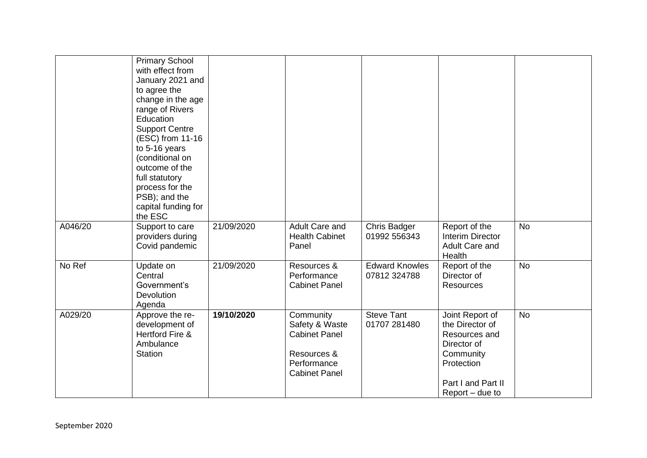|         | <b>Primary School</b><br>with effect from<br>January 2021 and<br>to agree the<br>change in the age<br>range of Rivers<br>Education<br><b>Support Centre</b><br>(ESC) from 11-16<br>to 5-16 years<br>(conditional on<br>outcome of the<br>full statutory<br>process for the<br>PSB); and the<br>capital funding for<br>the ESC |            |                                                                                                           |                                       |                                                                                                                                          |           |
|---------|-------------------------------------------------------------------------------------------------------------------------------------------------------------------------------------------------------------------------------------------------------------------------------------------------------------------------------|------------|-----------------------------------------------------------------------------------------------------------|---------------------------------------|------------------------------------------------------------------------------------------------------------------------------------------|-----------|
| A046/20 | Support to care<br>providers during<br>Covid pandemic                                                                                                                                                                                                                                                                         | 21/09/2020 | Adult Care and<br><b>Health Cabinet</b><br>Panel                                                          | <b>Chris Badger</b><br>01992 556343   | Report of the<br><b>Interim Director</b><br>Adult Care and<br>Health                                                                     | <b>No</b> |
| No Ref  | Update on<br>Central<br>Government's<br>Devolution<br>Agenda                                                                                                                                                                                                                                                                  | 21/09/2020 | Resources &<br>Performance<br><b>Cabinet Panel</b>                                                        | <b>Edward Knowles</b><br>07812 324788 | Report of the<br>Director of<br><b>Resources</b>                                                                                         | <b>No</b> |
| A029/20 | Approve the re-<br>development of<br>Hertford Fire &<br>Ambulance<br><b>Station</b>                                                                                                                                                                                                                                           | 19/10/2020 | Community<br>Safety & Waste<br><b>Cabinet Panel</b><br>Resources &<br>Performance<br><b>Cabinet Panel</b> | <b>Steve Tant</b><br>01707 281480     | Joint Report of<br>the Director of<br>Resources and<br>Director of<br>Community<br>Protection<br>Part I and Part II<br>$Report - due to$ | <b>No</b> |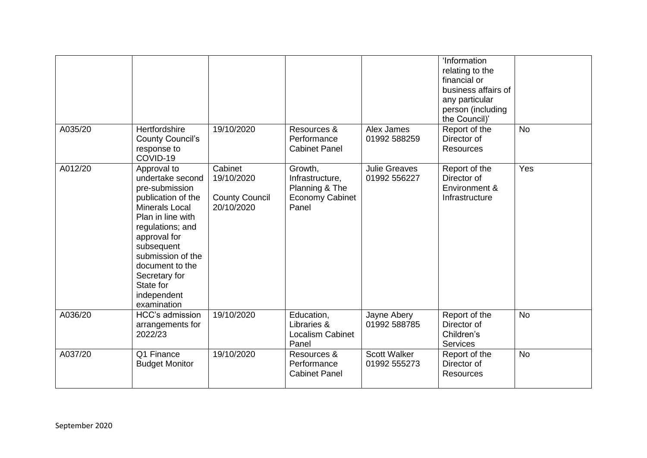|         |                                                                                                                                                                                                                                                                             |                                                              |                                                                                 |                                      | 'Information<br>relating to the<br>financial or<br>business affairs of<br>any particular<br>person (including<br>the Council)' |           |
|---------|-----------------------------------------------------------------------------------------------------------------------------------------------------------------------------------------------------------------------------------------------------------------------------|--------------------------------------------------------------|---------------------------------------------------------------------------------|--------------------------------------|--------------------------------------------------------------------------------------------------------------------------------|-----------|
| A035/20 | Hertfordshire<br><b>County Council's</b><br>response to<br>COVID-19                                                                                                                                                                                                         | 19/10/2020                                                   | Resources &<br>Performance<br><b>Cabinet Panel</b>                              | Alex James<br>01992 588259           | Report of the<br>Director of<br><b>Resources</b>                                                                               | <b>No</b> |
| A012/20 | Approval to<br>undertake second<br>pre-submission<br>publication of the<br><b>Minerals Local</b><br>Plan in line with<br>regulations; and<br>approval for<br>subsequent<br>submission of the<br>document to the<br>Secretary for<br>State for<br>independent<br>examination | Cabinet<br>19/10/2020<br><b>County Council</b><br>20/10/2020 | Growth,<br>Infrastructure,<br>Planning & The<br><b>Economy Cabinet</b><br>Panel | <b>Julie Greaves</b><br>01992 556227 | Report of the<br>Director of<br>Environment &<br>Infrastructure                                                                | Yes       |
| A036/20 | HCC's admission<br>arrangements for<br>2022/23                                                                                                                                                                                                                              | 19/10/2020                                                   | Education,<br>Libraries &<br>Localism Cabinet<br>Panel                          | Jayne Abery<br>01992 588785          | Report of the<br>Director of<br>Children's<br><b>Services</b>                                                                  | <b>No</b> |
| A037/20 | Q1 Finance<br><b>Budget Monitor</b>                                                                                                                                                                                                                                         | 19/10/2020                                                   | Resources &<br>Performance<br><b>Cabinet Panel</b>                              | Scott Walker<br>01992 555273         | Report of the<br>Director of<br><b>Resources</b>                                                                               | <b>No</b> |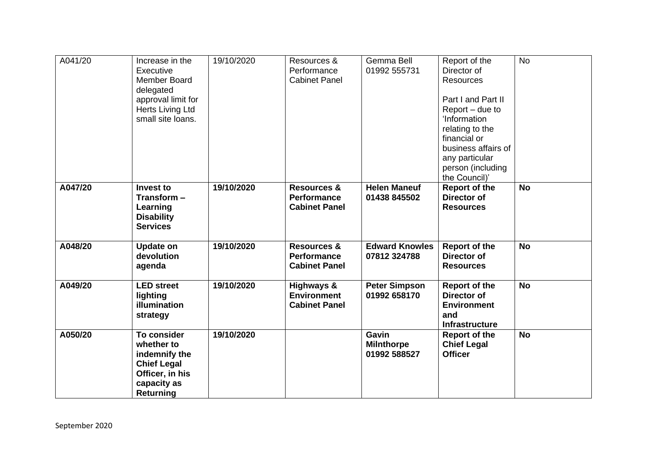| A041/20 | Increase in the<br>Executive<br>Member Board<br>delegated<br>approval limit for<br>Herts Living Ltd<br>small site loans.      | 19/10/2020 | Resources &<br>Performance<br><b>Cabinet Panel</b>                   | Gemma Bell<br>01992 555731                 | Report of the<br>Director of<br><b>Resources</b><br>Part I and Part II<br>Report – due to<br>'Information<br>relating to the<br>financial or<br>business affairs of<br>any particular<br>person (including<br>the Council)' | <b>No</b> |
|---------|-------------------------------------------------------------------------------------------------------------------------------|------------|----------------------------------------------------------------------|--------------------------------------------|-----------------------------------------------------------------------------------------------------------------------------------------------------------------------------------------------------------------------------|-----------|
| A047/20 | <b>Invest to</b><br>Transform-<br>Learning<br><b>Disability</b><br><b>Services</b>                                            | 19/10/2020 | <b>Resources &amp;</b><br><b>Performance</b><br><b>Cabinet Panel</b> | <b>Helen Maneuf</b><br>01438 845502        | <b>Report of the</b><br><b>Director of</b><br><b>Resources</b>                                                                                                                                                              | <b>No</b> |
| A048/20 | <b>Update on</b><br>devolution<br>agenda                                                                                      | 19/10/2020 | <b>Resources &amp;</b><br><b>Performance</b><br><b>Cabinet Panel</b> | <b>Edward Knowles</b><br>07812 324788      | <b>Report of the</b><br><b>Director of</b><br><b>Resources</b>                                                                                                                                                              | <b>No</b> |
| A049/20 | <b>LED</b> street<br>lighting<br>illumination<br>strategy                                                                     | 19/10/2020 | Highways &<br><b>Environment</b><br><b>Cabinet Panel</b>             | <b>Peter Simpson</b><br>01992 658170       | <b>Report of the</b><br><b>Director of</b><br><b>Environment</b><br>and<br>Infrastructure                                                                                                                                   | <b>No</b> |
| A050/20 | <b>To consider</b><br>whether to<br>indemnify the<br><b>Chief Legal</b><br>Officer, in his<br>capacity as<br><b>Returning</b> | 19/10/2020 |                                                                      | Gavin<br><b>Milnthorpe</b><br>01992 588527 | <b>Report of the</b><br><b>Chief Legal</b><br><b>Officer</b>                                                                                                                                                                | <b>No</b> |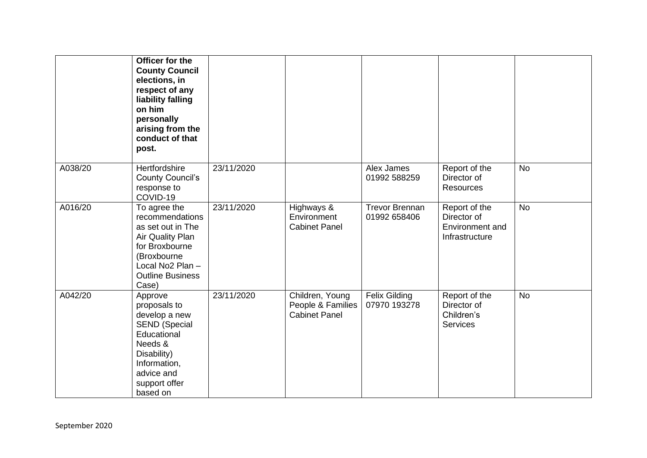|         | Officer for the<br><b>County Council</b><br>elections, in<br>respect of any<br>liability falling<br>on him<br>personally<br>arising from the<br>conduct of that<br>post. |            |                                                              |                                       |                                                                   |           |
|---------|--------------------------------------------------------------------------------------------------------------------------------------------------------------------------|------------|--------------------------------------------------------------|---------------------------------------|-------------------------------------------------------------------|-----------|
| A038/20 | Hertfordshire<br><b>County Council's</b><br>response to<br>COVID-19                                                                                                      | 23/11/2020 |                                                              | Alex James<br>01992 588259            | Report of the<br>Director of<br>Resources                         | <b>No</b> |
| A016/20 | To agree the<br>recommendations<br>as set out in The<br>Air Quality Plan<br>for Broxbourne<br>(Broxbourne<br>Local No2 Plan -<br><b>Outline Business</b><br>Case)        | 23/11/2020 | Highways &<br>Environment<br><b>Cabinet Panel</b>            | <b>Trevor Brennan</b><br>01992 658406 | Report of the<br>Director of<br>Environment and<br>Infrastructure | <b>No</b> |
| A042/20 | Approve<br>proposals to<br>develop a new<br><b>SEND (Special</b><br>Educational<br>Needs &<br>Disability)<br>Information,<br>advice and<br>support offer<br>based on     | 23/11/2020 | Children, Young<br>People & Families<br><b>Cabinet Panel</b> | <b>Felix Gilding</b><br>07970 193278  | Report of the<br>Director of<br>Children's<br><b>Services</b>     | <b>No</b> |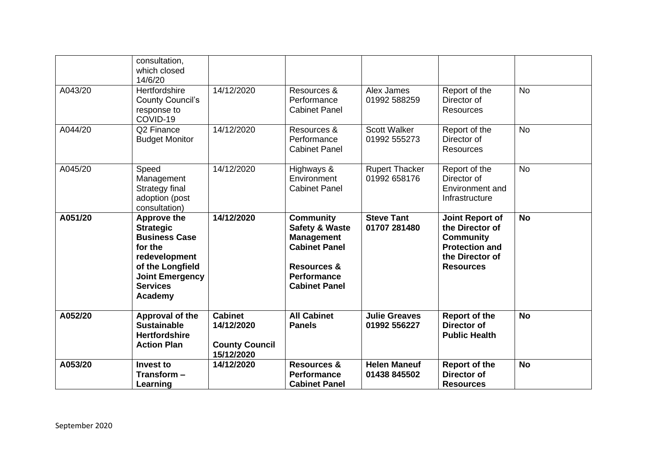|         | consultation,<br>which closed<br>14/6/20                                                                                                                               |                                                                     |                                                                                                                                                                    |                                       |                                                                                                                               |           |
|---------|------------------------------------------------------------------------------------------------------------------------------------------------------------------------|---------------------------------------------------------------------|--------------------------------------------------------------------------------------------------------------------------------------------------------------------|---------------------------------------|-------------------------------------------------------------------------------------------------------------------------------|-----------|
| A043/20 | Hertfordshire<br><b>County Council's</b><br>response to<br>COVID-19                                                                                                    | 14/12/2020                                                          | Resources &<br>Performance<br><b>Cabinet Panel</b>                                                                                                                 | Alex James<br>01992 588259            | Report of the<br>Director of<br><b>Resources</b>                                                                              | <b>No</b> |
| A044/20 | Q2 Finance<br><b>Budget Monitor</b>                                                                                                                                    | 14/12/2020                                                          | Resources &<br>Performance<br><b>Cabinet Panel</b>                                                                                                                 | <b>Scott Walker</b><br>01992 555273   | Report of the<br>Director of<br><b>Resources</b>                                                                              | <b>No</b> |
| A045/20 | Speed<br>Management<br>Strategy final<br>adoption (post<br>consultation)                                                                                               | 14/12/2020                                                          | Highways &<br>Environment<br><b>Cabinet Panel</b>                                                                                                                  | <b>Rupert Thacker</b><br>01992 658176 | Report of the<br>Director of<br>Environment and<br>Infrastructure                                                             | <b>No</b> |
| A051/20 | <b>Approve the</b><br><b>Strategic</b><br><b>Business Case</b><br>for the<br>redevelopment<br>of the Longfield<br><b>Joint Emergency</b><br><b>Services</b><br>Academy | 14/12/2020                                                          | <b>Community</b><br><b>Safety &amp; Waste</b><br><b>Management</b><br><b>Cabinet Panel</b><br><b>Resources &amp;</b><br><b>Performance</b><br><b>Cabinet Panel</b> | <b>Steve Tant</b><br>01707 281480     | <b>Joint Report of</b><br>the Director of<br><b>Community</b><br><b>Protection and</b><br>the Director of<br><b>Resources</b> | <b>No</b> |
| A052/20 | Approval of the<br><b>Sustainable</b><br><b>Hertfordshire</b><br><b>Action Plan</b>                                                                                    | <b>Cabinet</b><br>14/12/2020<br><b>County Council</b><br>15/12/2020 | <b>All Cabinet</b><br><b>Panels</b>                                                                                                                                | <b>Julie Greaves</b><br>01992 556227  | <b>Report of the</b><br><b>Director of</b><br><b>Public Health</b>                                                            | <b>No</b> |
| A053/20 | Invest to<br>Transform -<br>Learning                                                                                                                                   | 14/12/2020                                                          | <b>Resources &amp;</b><br>Performance<br><b>Cabinet Panel</b>                                                                                                      | <b>Helen Maneuf</b><br>01438 845502   | <b>Report of the</b><br><b>Director of</b><br><b>Resources</b>                                                                | <b>No</b> |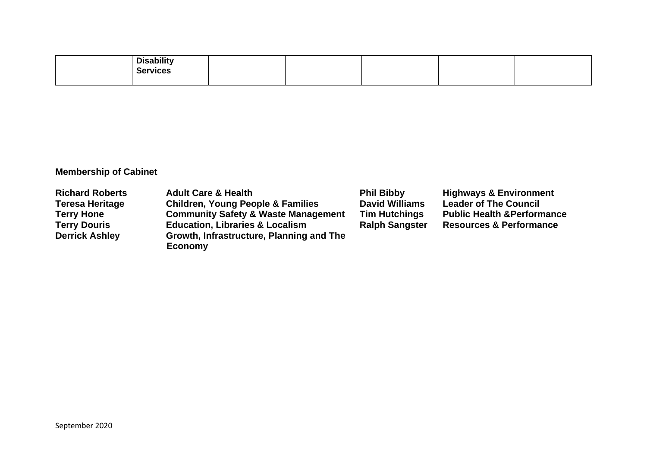| <b>Disability</b> |  |  |  |
|-------------------|--|--|--|
| <b>Services</b>   |  |  |  |
|                   |  |  |  |

## **Membership of Cabinet**

| <b>Richard Roberts</b> | <b>Adult Care &amp; Health</b>                 | <b>Phil Bibby</b>     | <b>Highways &amp; Environment</b>      |
|------------------------|------------------------------------------------|-----------------------|----------------------------------------|
| <b>Teresa Heritage</b> | <b>Children, Young People &amp; Families</b>   | <b>David Williams</b> | <b>Leader of The Council</b>           |
| <b>Terry Hone</b>      | <b>Community Safety &amp; Waste Management</b> | <b>Tim Hutchings</b>  | <b>Public Health &amp; Performance</b> |
| <b>Terry Douris</b>    | <b>Education, Libraries &amp; Localism</b>     | <b>Ralph Sangster</b> | <b>Resources &amp; Performance</b>     |
| <b>Derrick Ashley</b>  | Growth, Infrastructure, Planning and The       |                       |                                        |
|                        | <b>Economy</b>                                 |                       |                                        |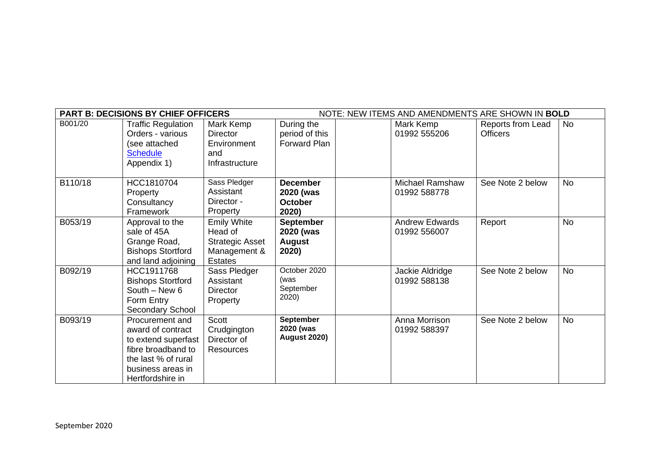| NOTE: NEW ITEMS AND AMENDMENTS ARE SHOWN IN BOLD<br><b>PART B: DECISIONS BY CHIEF OFFICERS</b> |                                                                                                                                                   |                                                                                           |                                                         |  |                                        |                                      |           |
|------------------------------------------------------------------------------------------------|---------------------------------------------------------------------------------------------------------------------------------------------------|-------------------------------------------------------------------------------------------|---------------------------------------------------------|--|----------------------------------------|--------------------------------------|-----------|
| B001/20                                                                                        | <b>Traffic Regulation</b><br>Orders - various<br>(see attached<br><b>Schedule</b><br>Appendix 1)                                                  | Mark Kemp<br><b>Director</b><br>Environment<br>and<br>Infrastructure                      | During the<br>period of this<br>Forward Plan            |  | Mark Kemp<br>01992 555206              | Reports from Lead<br><b>Officers</b> | No        |
| B110/18                                                                                        | HCC1810704<br>Property<br>Consultancy<br>Framework                                                                                                | Sass Pledger<br>Assistant<br>Director -<br><b>Property</b>                                | <b>December</b><br>2020 (was<br><b>October</b><br>2020) |  | <b>Michael Ramshaw</b><br>01992 588778 | See Note 2 below                     | <b>No</b> |
| B053/19                                                                                        | Approval to the<br>sale of 45A<br>Grange Road,<br><b>Bishops Stortford</b><br>and land adjoining                                                  | <b>Emily White</b><br>Head of<br><b>Strategic Asset</b><br>Management &<br><b>Estates</b> | <b>September</b><br>2020 (was<br><b>August</b><br>2020) |  | <b>Andrew Edwards</b><br>01992 556007  | Report                               | No        |
| B092/19                                                                                        | HCC1911768<br><b>Bishops Stortford</b><br>South $-$ New 6<br>Form Entry<br>Secondary School                                                       | Sass Pledger<br>Assistant<br><b>Director</b><br>Property                                  | October 2020<br>(was<br>September<br>2020)              |  | Jackie Aldridge<br>01992 588138        | See Note 2 below                     | <b>No</b> |
| B093/19                                                                                        | Procurement and<br>award of contract<br>to extend superfast<br>fibre broadband to<br>the last % of rural<br>business areas in<br>Hertfordshire in | Scott<br>Crudgington<br>Director of<br><b>Resources</b>                                   | September<br>2020 (was<br><b>August 2020)</b>           |  | Anna Morrison<br>01992 588397          | See Note 2 below                     | <b>No</b> |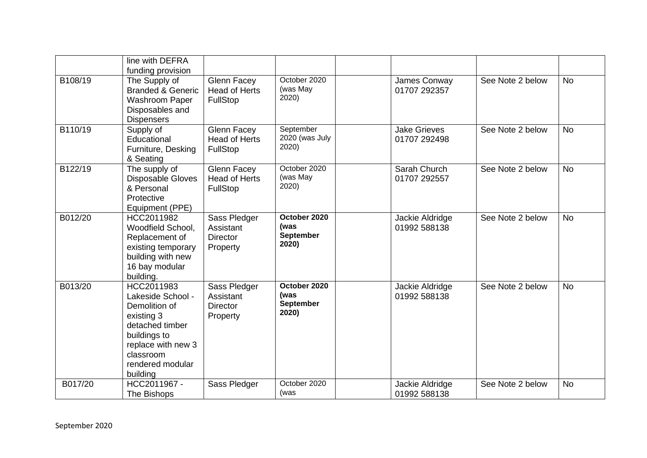|         | line with DEFRA<br>funding provision                                                                                                                                 |                                                               |                                                   |                                     |                  |           |
|---------|----------------------------------------------------------------------------------------------------------------------------------------------------------------------|---------------------------------------------------------------|---------------------------------------------------|-------------------------------------|------------------|-----------|
| B108/19 | The Supply of<br><b>Branded &amp; Generic</b><br>Washroom Paper<br>Disposables and<br><b>Dispensers</b>                                                              | <b>Glenn Facey</b><br><b>Head of Herts</b><br>FullStop        | October 2020<br>(was May<br>2020)                 | James Conway<br>01707 292357        | See Note 2 below | <b>No</b> |
| B110/19 | Supply of<br>Educational<br>Furniture, Desking<br>& Seating                                                                                                          | <b>Glenn Facey</b><br><b>Head of Herts</b><br><b>FullStop</b> | September<br>2020 (was July<br>2020)              | <b>Jake Grieves</b><br>01707 292498 | See Note 2 below | <b>No</b> |
| B122/19 | The supply of<br><b>Disposable Gloves</b><br>& Personal<br>Protective<br>Equipment (PPE)                                                                             | <b>Glenn Facey</b><br><b>Head of Herts</b><br><b>FullStop</b> | October 2020<br>(was May<br>2020)                 | Sarah Church<br>01707 292557        | See Note 2 below | <b>No</b> |
| B012/20 | HCC2011982<br>Woodfield School,<br>Replacement of<br>existing temporary<br>building with new<br>16 bay modular<br>building.                                          | Sass Pledger<br>Assistant<br><b>Director</b><br>Property      | October 2020<br>(was<br><b>September</b><br>2020) | Jackie Aldridge<br>01992 588138     | See Note 2 below | <b>No</b> |
| B013/20 | HCC2011983<br>Lakeside School -<br>Demolition of<br>existing 3<br>detached timber<br>buildings to<br>replace with new 3<br>classroom<br>rendered modular<br>building | Sass Pledger<br>Assistant<br><b>Director</b><br>Property      | October 2020<br>(was<br>September<br>2020)        | Jackie Aldridge<br>01992 588138     | See Note 2 below | <b>No</b> |
| B017/20 | HCC2011967 -<br>The Bishops                                                                                                                                          | Sass Pledger                                                  | October 2020<br>(was                              | Jackie Aldridge<br>01992 588138     | See Note 2 below | <b>No</b> |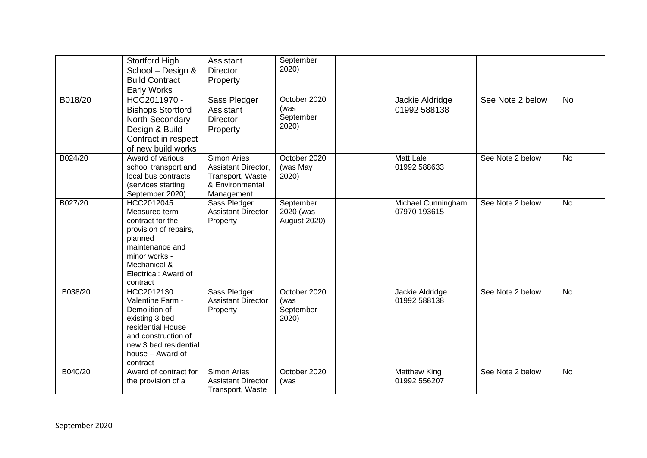|         | Stortford High<br>School - Design &<br><b>Build Contract</b><br><b>Early Works</b>                                                                                          | Assistant<br><b>Director</b><br>Property                                                | September<br>2020)                            |                                     |                  |           |
|---------|-----------------------------------------------------------------------------------------------------------------------------------------------------------------------------|-----------------------------------------------------------------------------------------|-----------------------------------------------|-------------------------------------|------------------|-----------|
| B018/20 | HCC2011970 -<br><b>Bishops Stortford</b><br>North Secondary -<br>Design & Build<br>Contract in respect<br>of new build works                                                | Sass Pledger<br>Assistant<br>Director<br>Property                                       | October 2020<br>(was<br>September<br>2020)    | Jackie Aldridge<br>01992 588138     | See Note 2 below | <b>No</b> |
| B024/20 | Award of various<br>school transport and<br>local bus contracts<br>(services starting<br>September 2020)                                                                    | Simon Aries<br>Assistant Director,<br>Transport, Waste<br>& Environmental<br>Management | October 2020<br>(was May<br>2020)             | <b>Matt Lale</b><br>01992 588633    | See Note 2 below | <b>No</b> |
| B027/20 | HCC2012045<br>Measured term<br>contract for the<br>provision of repairs,<br>planned<br>maintenance and<br>minor works -<br>Mechanical &<br>Electrical: Award of<br>contract | Sass Pledger<br><b>Assistant Director</b><br>Property                                   | September<br>2020 (was<br><b>August 2020)</b> | Michael Cunningham<br>07970 193615  | See Note 2 below | <b>No</b> |
| B038/20 | HCC2012130<br>Valentine Farm -<br>Demolition of<br>existing 3 bed<br>residential House<br>and construction of<br>new 3 bed residential<br>house - Award of<br>contract      | Sass Pledger<br><b>Assistant Director</b><br>Property                                   | October 2020<br>(was<br>September<br>2020)    | Jackie Aldridge<br>01992 588138     | See Note 2 below | <b>No</b> |
| B040/20 | Award of contract for<br>the provision of a                                                                                                                                 | <b>Simon Aries</b><br><b>Assistant Director</b><br>Transport, Waste                     | October 2020<br>(was                          | <b>Matthew King</b><br>01992 556207 | See Note 2 below | <b>No</b> |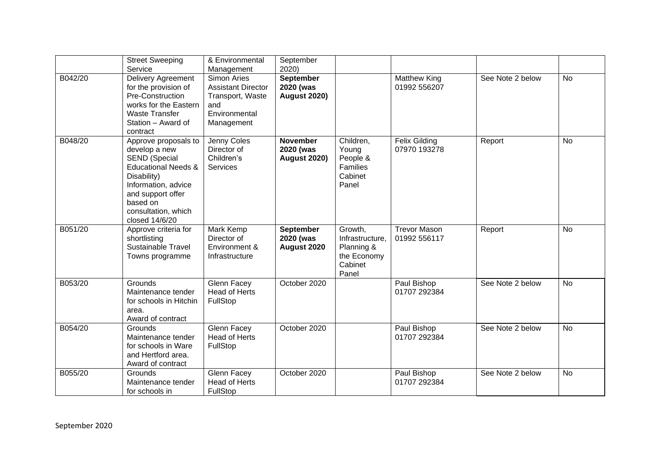|         | <b>Street Sweeping</b><br>Service                                                                                                                                                                               | & Environmental<br>Management                                                                      | September<br>2020)                                  |                                                                             |                                      |                  |           |
|---------|-----------------------------------------------------------------------------------------------------------------------------------------------------------------------------------------------------------------|----------------------------------------------------------------------------------------------------|-----------------------------------------------------|-----------------------------------------------------------------------------|--------------------------------------|------------------|-----------|
| B042/20 | Delivery Agreement<br>for the provision of<br>Pre-Construction<br>works for the Eastern<br><b>Waste Transfer</b><br>Station - Award of<br>contract                                                              | Simon Aries<br><b>Assistant Director</b><br>Transport, Waste<br>and<br>Environmental<br>Management | September<br>2020 (was<br><b>August 2020)</b>       |                                                                             | <b>Matthew King</b><br>01992 556207  | See Note 2 below | <b>No</b> |
| B048/20 | Approve proposals to<br>develop a new<br><b>SEND (Special</b><br><b>Educational Needs &amp;</b><br>Disability)<br>Information, advice<br>and support offer<br>based on<br>consultation, which<br>closed 14/6/20 | Jenny Coles<br>Director of<br>Children's<br><b>Services</b>                                        | <b>November</b><br>2020 (was<br><b>August 2020)</b> | Children,<br>Young<br>People &<br>Families<br>Cabinet<br>Panel              | <b>Felix Gilding</b><br>07970 193278 | Report           | <b>No</b> |
| B051/20 | Approve criteria for<br>shortlisting<br><b>Sustainable Travel</b><br>Towns programme                                                                                                                            | Mark Kemp<br>Director of<br>Environment &<br>Infrastructure                                        | <b>September</b><br>2020 (was<br>August 2020        | Growth,<br>Infrastructure,<br>Planning &<br>the Economy<br>Cabinet<br>Panel | <b>Trevor Mason</b><br>01992 556117  | Report           | <b>No</b> |
| B053/20 | Grounds<br>Maintenance tender<br>for schools in Hitchin<br>area.<br>Award of contract                                                                                                                           | Glenn Facey<br><b>Head of Herts</b><br>FullStop                                                    | October 2020                                        |                                                                             | Paul Bishop<br>01707 292384          | See Note 2 below | <b>No</b> |
| B054/20 | Grounds<br>Maintenance tender<br>for schools in Ware<br>and Hertford area.<br>Award of contract                                                                                                                 | Glenn Facey<br><b>Head of Herts</b><br>FullStop                                                    | October 2020                                        |                                                                             | Paul Bishop<br>01707 292384          | See Note 2 below | <b>No</b> |
| B055/20 | Grounds<br>Maintenance tender<br>for schools in                                                                                                                                                                 | Glenn Facey<br><b>Head of Herts</b><br>FullStop                                                    | October 2020                                        |                                                                             | Paul Bishop<br>01707 292384          | See Note 2 below | <b>No</b> |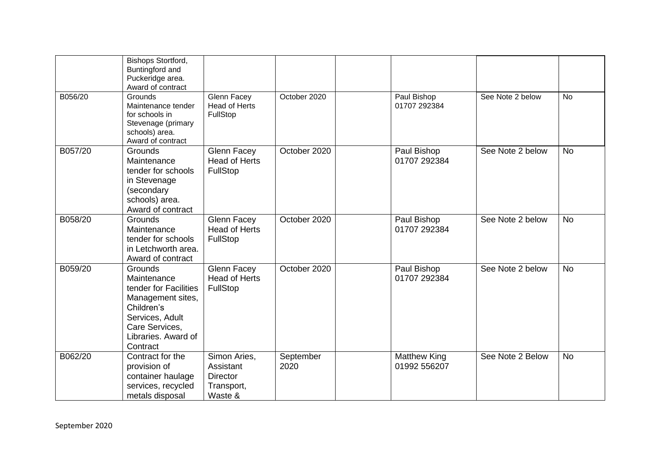|         | Bishops Stortford,<br>Buntingford and<br>Puckeridge area.<br>Award of contract                                                                             |                                                                       |                   |                                     |                  |           |
|---------|------------------------------------------------------------------------------------------------------------------------------------------------------------|-----------------------------------------------------------------------|-------------------|-------------------------------------|------------------|-----------|
| B056/20 | <b>Grounds</b><br>Maintenance tender<br>for schools in<br>Stevenage (primary<br>schools) area.<br>Award of contract                                        | <b>Glenn Facey</b><br><b>Head of Herts</b><br>FullStop                | October 2020      | Paul Bishop<br>01707 292384         | See Note 2 below | <b>No</b> |
| B057/20 | <b>Grounds</b><br>Maintenance<br>tender for schools<br>in Stevenage<br>(secondary<br>schools) area.<br>Award of contract                                   | <b>Glenn Facey</b><br><b>Head of Herts</b><br>FullStop                | October 2020      | Paul Bishop<br>01707 292384         | See Note 2 below | <b>No</b> |
| B058/20 | <b>Grounds</b><br>Maintenance<br>tender for schools<br>in Letchworth area.<br>Award of contract                                                            | <b>Glenn Facey</b><br><b>Head of Herts</b><br>FullStop                | October 2020      | Paul Bishop<br>01707 292384         | See Note 2 below | <b>No</b> |
| B059/20 | Grounds<br>Maintenance<br>tender for Facilities<br>Management sites,<br>Children's<br>Services, Adult<br>Care Services,<br>Libraries. Award of<br>Contract | Glenn Facey<br><b>Head of Herts</b><br>FullStop                       | October 2020      | Paul Bishop<br>01707 292384         | See Note 2 below | <b>No</b> |
| B062/20 | Contract for the<br>provision of<br>container haulage<br>services, recycled<br>metals disposal                                                             | Simon Aries,<br>Assistant<br><b>Director</b><br>Transport,<br>Waste & | September<br>2020 | <b>Matthew King</b><br>01992 556207 | See Note 2 Below | <b>No</b> |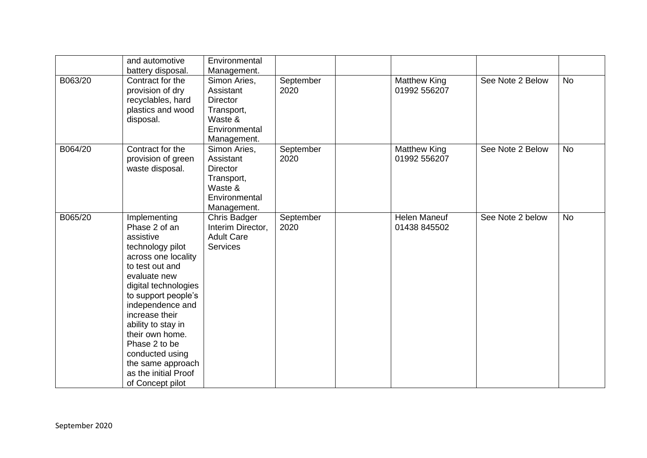|         | and automotive<br>battery disposal.                                                                                                                                                                                                                                                                                                                         | Environmental<br>Management.                                                                          |                   |                                     |                  |           |
|---------|-------------------------------------------------------------------------------------------------------------------------------------------------------------------------------------------------------------------------------------------------------------------------------------------------------------------------------------------------------------|-------------------------------------------------------------------------------------------------------|-------------------|-------------------------------------|------------------|-----------|
| B063/20 | Contract for the<br>provision of dry<br>recyclables, hard<br>plastics and wood<br>disposal.                                                                                                                                                                                                                                                                 | Simon Aries,<br>Assistant<br><b>Director</b><br>Transport,<br>Waste &<br>Environmental<br>Management. | September<br>2020 | <b>Matthew King</b><br>01992 556207 | See Note 2 Below | <b>No</b> |
| B064/20 | Contract for the<br>provision of green<br>waste disposal.                                                                                                                                                                                                                                                                                                   | Simon Aries,<br>Assistant<br><b>Director</b><br>Transport,<br>Waste &<br>Environmental<br>Management. | September<br>2020 | Matthew King<br>01992 556207        | See Note 2 Below | <b>No</b> |
| B065/20 | Implementing<br>Phase 2 of an<br>assistive<br>technology pilot<br>across one locality<br>to test out and<br>evaluate new<br>digital technologies<br>to support people's<br>independence and<br>increase their<br>ability to stay in<br>their own home.<br>Phase 2 to be<br>conducted using<br>the same approach<br>as the initial Proof<br>of Concept pilot | <b>Chris Badger</b><br>Interim Director,<br><b>Adult Care</b><br><b>Services</b>                      | September<br>2020 | <b>Helen Maneuf</b><br>01438 845502 | See Note 2 below | <b>No</b> |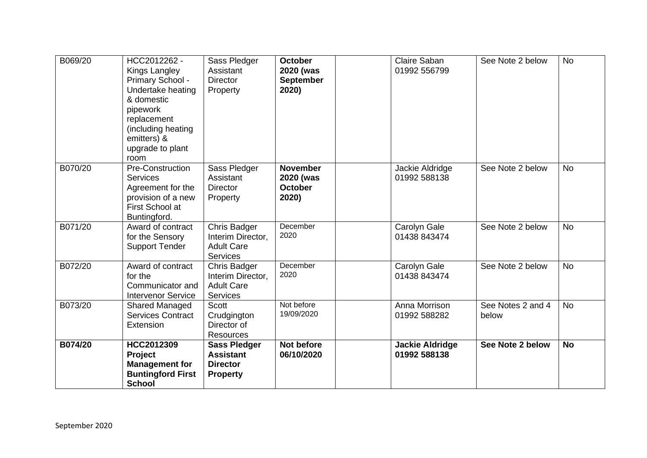| B069/20 | HCC2012262 -<br>Kings Langley<br>Primary School -<br>Undertake heating<br>& domestic<br>pipework<br>replacement<br>(including heating<br>emitters) &<br>upgrade to plant<br>room | Sass Pledger<br>Assistant<br><b>Director</b><br>Property                         | <b>October</b><br>2020 (was<br><b>September</b><br>2020) | Claire Saban<br>01992 556799           | See Note 2 below           | <b>No</b> |
|---------|----------------------------------------------------------------------------------------------------------------------------------------------------------------------------------|----------------------------------------------------------------------------------|----------------------------------------------------------|----------------------------------------|----------------------------|-----------|
| B070/20 | Pre-Construction<br><b>Services</b><br>Agreement for the<br>provision of a new<br>First School at<br>Buntingford.                                                                | Sass Pledger<br>Assistant<br><b>Director</b><br>Property                         | <b>November</b><br>2020 (was<br><b>October</b><br>2020)  | Jackie Aldridge<br>01992 588138        | See Note 2 below           | <b>No</b> |
| B071/20 | Award of contract<br>for the Sensory<br><b>Support Tender</b>                                                                                                                    | <b>Chris Badger</b><br>Interim Director,<br><b>Adult Care</b><br><b>Services</b> | December<br>2020                                         | Carolyn Gale<br>01438 843474           | See Note 2 below           | <b>No</b> |
| B072/20 | Award of contract<br>for the<br>Communicator and<br><b>Intervenor Service</b>                                                                                                    | Chris Badger<br>Interim Director,<br><b>Adult Care</b><br><b>Services</b>        | December<br>2020                                         | Carolyn Gale<br>01438 843474           | See Note 2 below           | <b>No</b> |
| B073/20 | <b>Shared Managed</b><br><b>Services Contract</b><br>Extension                                                                                                                   | <b>Scott</b><br>Crudgington<br>Director of<br><b>Resources</b>                   | Not before<br>19/09/2020                                 | Anna Morrison<br>01992 588282          | See Notes 2 and 4<br>below | <b>No</b> |
| B074/20 | HCC2012309<br>Project<br><b>Management for</b><br><b>Buntingford First</b><br><b>School</b>                                                                                      | <b>Sass Pledger</b><br><b>Assistant</b><br><b>Director</b><br><b>Property</b>    | Not before<br>06/10/2020                                 | <b>Jackie Aldridge</b><br>01992 588138 | See Note 2 below           | <b>No</b> |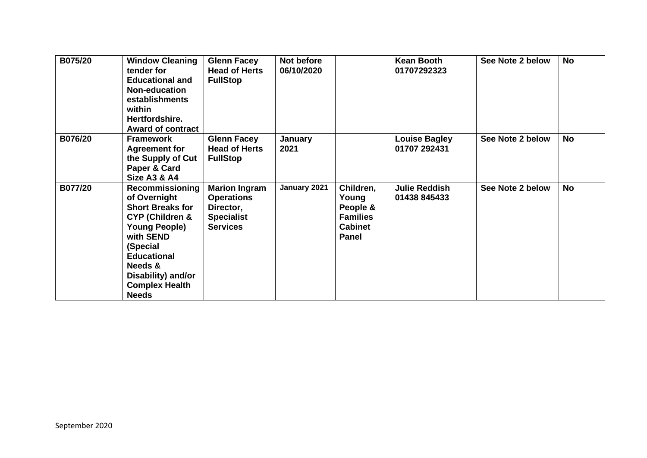| B075/20 | <b>Window Cleaning</b><br>tender for<br><b>Educational and</b><br><b>Non-education</b><br>establishments<br>within<br>Hertfordshire.<br><b>Award of contract</b>                                                                          | <b>Glenn Facey</b><br><b>Head of Herts</b><br><b>FullStop</b>                                  | Not before<br>06/10/2020 |                                                                                     | <b>Kean Booth</b><br>01707292323     | See Note 2 below | <b>No</b> |
|---------|-------------------------------------------------------------------------------------------------------------------------------------------------------------------------------------------------------------------------------------------|------------------------------------------------------------------------------------------------|--------------------------|-------------------------------------------------------------------------------------|--------------------------------------|------------------|-----------|
| B076/20 | <b>Framework</b><br><b>Agreement for</b><br>the Supply of Cut<br>Paper & Card<br><b>Size A3 &amp; A4</b>                                                                                                                                  | <b>Glenn Facey</b><br><b>Head of Herts</b><br><b>FullStop</b>                                  | January<br>2021          |                                                                                     | <b>Louise Bagley</b><br>01707 292431 | See Note 2 below | <b>No</b> |
| B077/20 | Recommissioning<br>of Overnight<br><b>Short Breaks for</b><br><b>CYP (Children &amp;</b><br><b>Young People)</b><br>with SEND<br>(Special<br><b>Educational</b><br>Needs &<br>Disability) and/or<br><b>Complex Health</b><br><b>Needs</b> | <b>Marion Ingram</b><br><b>Operations</b><br>Director,<br><b>Specialist</b><br><b>Services</b> | January 2021             | Children,<br>Young<br>People &<br><b>Families</b><br><b>Cabinet</b><br><b>Panel</b> | <b>Julie Reddish</b><br>01438 845433 | See Note 2 below | <b>No</b> |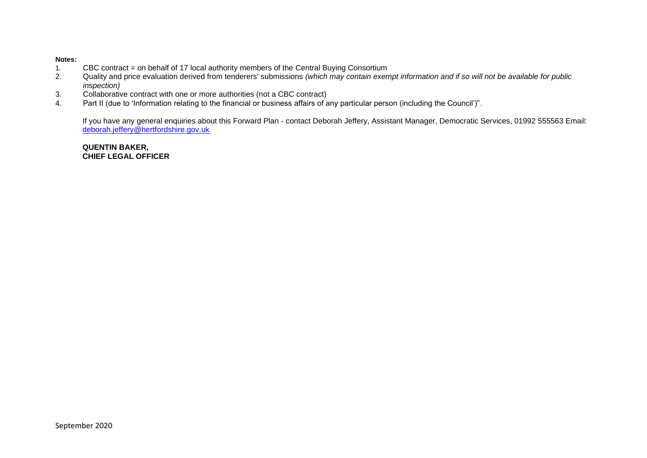#### **Notes:**

- 1. CBC contract = on behalf of 17 local authority members of the Central Buying Consortium<br>2. Quality and price evaluation derived from tenderers' submissions (which may contain exer
- 2. Quality and price evaluation derived from tenderers' submissions *(which may contain exempt information and if so will not be available for public inspection)*
- 3. Collaborative contract with one or more authorities (not a CBC contract)
- 4. Part II (due to 'Information relating to the financial or business affairs of any particular person (including the Council')".

If you have any general enquiries about this Forward Plan - contact Deborah Jeffery, Assistant Manager, Democratic Services, 01992 555563 Email: [deborah.jeffery@hertfordshire.gov.uk](mailto:deborah.jeffery@hertfordshire.gov.uk) 

**QUENTIN BAKER, CHIEF LEGAL OFFICER**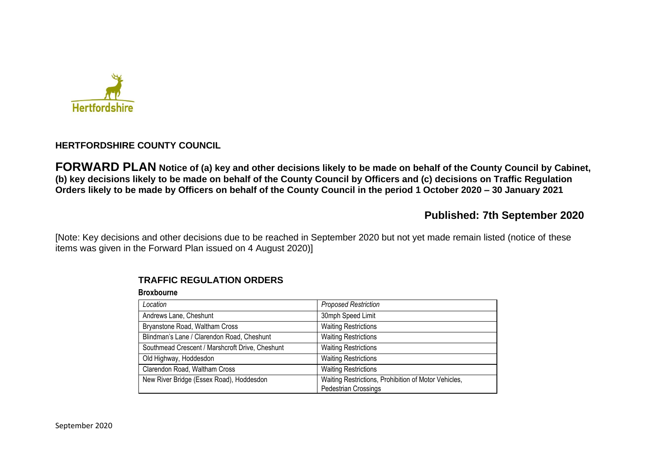

## **HERTFORDSHIRE COUNTY COUNCIL**

**FORWARD PLAN Notice of (a) key and other decisions likely to be made on behalf of the County Council by Cabinet, (b) key decisions likely to be made on behalf of the County Council by Officers and (c) decisions on Traffic Regulation Orders likely to be made by Officers on behalf of the County Council in the period 1 October 2020 – 30 January 2021** 

# **Published: 7th September 2020**

[Note: Key decisions and other decisions due to be reached in September 2020 but not yet made remain listed (notice of these items was given in the Forward Plan issued on 4 August 2020)]

| Location                                        | <b>Proposed Restriction</b>                                                         |
|-------------------------------------------------|-------------------------------------------------------------------------------------|
| Andrews Lane, Cheshunt                          | 30mph Speed Limit                                                                   |
| Bryanstone Road, Waltham Cross                  | <b>Waiting Restrictions</b>                                                         |
| Blindman's Lane / Clarendon Road, Cheshunt      | <b>Waiting Restrictions</b>                                                         |
| Southmead Crescent / Marshcroft Drive, Cheshunt | <b>Waiting Restrictions</b>                                                         |
| Old Highway, Hoddesdon                          | <b>Waiting Restrictions</b>                                                         |
| Clarendon Road, Waltham Cross                   | <b>Waiting Restrictions</b>                                                         |
| New River Bridge (Essex Road), Hoddesdon        | Waiting Restrictions, Prohibition of Motor Vehicles,<br><b>Pedestrian Crossings</b> |

## **TRAFFIC REGULATION ORDERS**

#### **Broxbourne**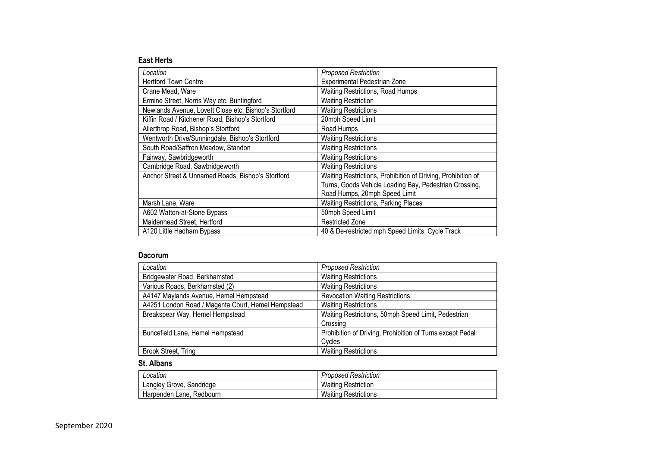#### **East Herts**

| Location                                              | <b>Proposed Restriction</b>                                  |
|-------------------------------------------------------|--------------------------------------------------------------|
| <b>Hertford Town Centre</b>                           | Experimental Pedestrian Zone                                 |
| Crane Mead, Ware                                      | <b>Waiting Restrictions, Road Humps</b>                      |
| Ermine Street, Norris Way etc, Buntingford            | <b>Waiting Restriction</b>                                   |
| Newlands Avenue, Lovett Close etc, Bishop's Stortford | <b>Waiting Restrictions</b>                                  |
| Kiffin Road / Kitchener Road, Bishop's Stortford      | 20mph Speed Limit                                            |
| Allerthrop Road, Bishop's Stortford                   | Road Humps                                                   |
| Wentworth Drive/Sunningdale, Bishop's Stortford       | <b>Waiting Restrictions</b>                                  |
| South Road/Saffron Meadow, Standon                    | <b>Waiting Restrictions</b>                                  |
| Fairway, Sawbridgeworth                               | <b>Waiting Restrictions</b>                                  |
| Cambridge Road, Sawbridgeworth                        | <b>Waiting Restrictions</b>                                  |
| Anchor Street & Unnamed Roads, Bishop's Stortford     | Waiting Restrictions, Prohibition of Driving, Prohibition of |
|                                                       | Turns, Goods Vehicle Loading Bay, Pedestrian Crossing,       |
|                                                       | Road Humps, 20mph Speed Limit                                |
| Marsh Lane, Ware                                      | <b>Waiting Restrictions, Parking Places</b>                  |
| A602 Watton-at-Stone Bypass                           | 50mph Speed Limit                                            |
| Maidenhead Street, Hertford                           | <b>Restricted Zone</b>                                       |
| A120 Little Hadham Bypass                             | 40 & De-restricted mph Speed Limits, Cycle Track             |

#### **Dacorum**

| Location                                           | <b>Proposed Restriction</b>                               |
|----------------------------------------------------|-----------------------------------------------------------|
| Bridgewater Road, Berkhamsted                      | <b>Waiting Restrictions</b>                               |
| Various Roads, Berkhamsted (2)                     | <b>Waiting Restrictions</b>                               |
| A4147 Maylands Avenue, Hemel Hempstead             | <b>Revocation Waiting Restrictions</b>                    |
| A4251 London Road / Magenta Court, Hemel Hempstead | <b>Waiting Restrictions</b>                               |
| Breakspear Way, Hemel Hempstead                    | Waiting Restrictions, 50mph Speed Limit, Pedestrian       |
|                                                    | Crossing                                                  |
| Buncefield Lane, Hemel Hempstead                   | Prohibition of Driving, Prohibition of Turns except Pedal |
|                                                    | Cycles                                                    |
| Brook Street, Tring                                | <b>Waiting Restrictions</b>                               |

#### **St. Albans**

| Location                 | <b>Proposed Restriction</b> |
|--------------------------|-----------------------------|
| Langley Grove, Sandridge | <b>Waiting Restriction</b>  |
| Harpenden Lane, Redbourn | <b>Waiting Restrictions</b> |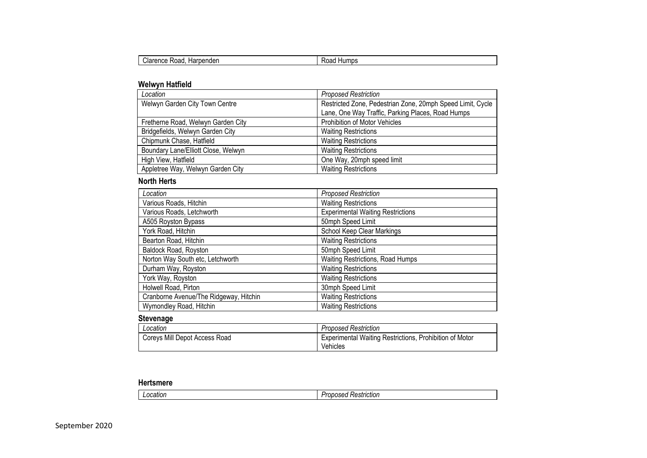| Harpenden<br>'Ioranca<br>Road<br>'اoاب<br>GHUG | Humps<br>. .<br>koad |
|------------------------------------------------|----------------------|
|------------------------------------------------|----------------------|

### **Welwyn Hatfield**

| Location                            | <b>Proposed Restriction</b>                                |
|-------------------------------------|------------------------------------------------------------|
| Welwyn Garden City Town Centre      | Restricted Zone, Pedestrian Zone, 20mph Speed Limit, Cycle |
|                                     | Lane, One Way Traffic, Parking Places, Road Humps          |
| Fretherne Road, Welwyn Garden City  | Prohibition of Motor Vehicles                              |
| Bridgefields, Welwyn Garden City    | <b>Waiting Restrictions</b>                                |
| Chipmunk Chase, Hatfield            | <b>Waiting Restrictions</b>                                |
| Boundary Lane/Elliott Close, Welwyn | <b>Waiting Restrictions</b>                                |
| High View, Hatfield                 | One Way, 20mph speed limit                                 |
| Appletree Way, Welwyn Garden City   | <b>Waiting Restrictions</b>                                |

### **North Herts**

| Location                               | <b>Proposed Restriction</b>              |
|----------------------------------------|------------------------------------------|
| Various Roads, Hitchin                 | <b>Waiting Restrictions</b>              |
| Various Roads, Letchworth              | <b>Experimental Waiting Restrictions</b> |
| A505 Royston Bypass                    | 50mph Speed Limit                        |
| York Road, Hitchin                     | School Keep Clear Markings               |
| Bearton Road, Hitchin                  | <b>Waiting Restrictions</b>              |
| Baldock Road, Royston                  | 50mph Speed Limit                        |
| Norton Way South etc, Letchworth       | Waiting Restrictions, Road Humps         |
| Durham Way, Royston                    | <b>Waiting Restrictions</b>              |
| York Way, Royston                      | <b>Waiting Restrictions</b>              |
| Holwell Road, Pirton                   | 30mph Speed Limit                        |
| Cranborne Avenue/The Ridgeway, Hitchin | <b>Waiting Restrictions</b>              |
| Wymondley Road, Hitchin                | <b>Waiting Restrictions</b>              |

#### **Stevenage**

| Location                      | <b>Proposed Restriction</b>                                         |
|-------------------------------|---------------------------------------------------------------------|
| Coreys Mill Depot Access Road | Experimental Waiting Restrictions, Prohibition of Motor<br>Vehicles |

#### **Hertsmere**

| .ocation<br>. | <b>STATE</b><br>Restriction<br>nosed<br>.<br>.<br>. UUU<br>. |
|---------------|--------------------------------------------------------------|
|---------------|--------------------------------------------------------------|